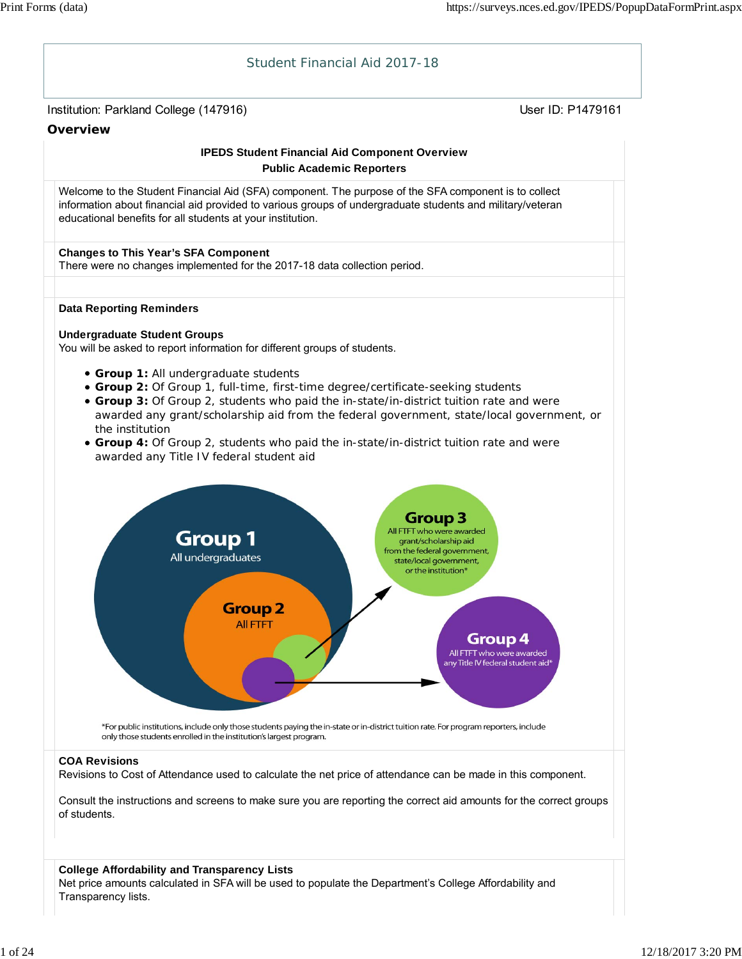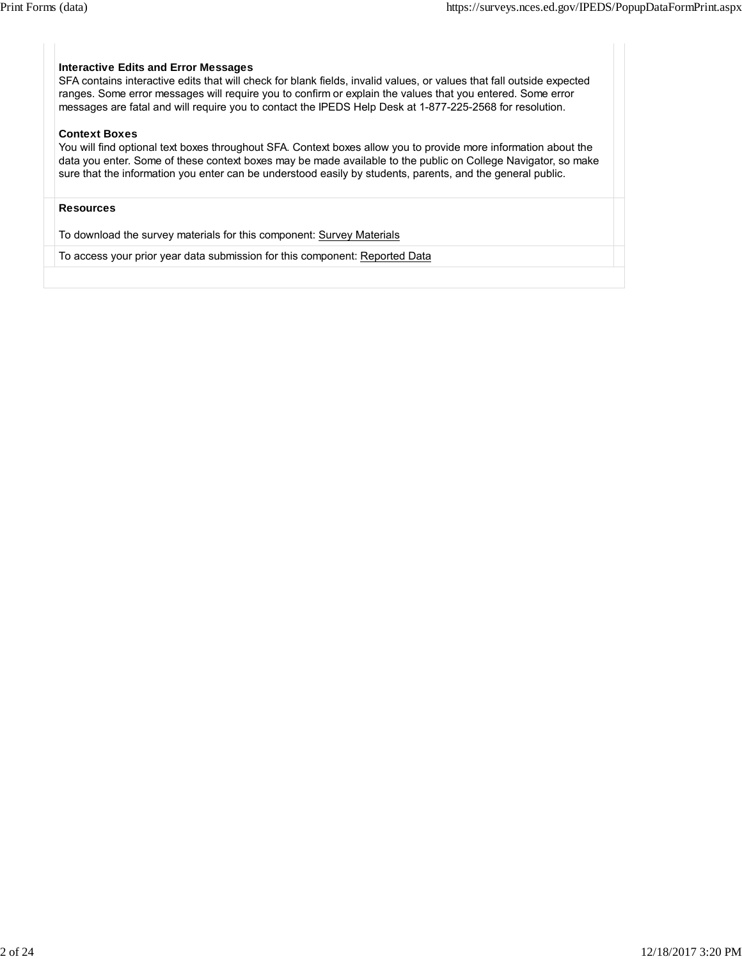#### **Interactive Edits and Error Messages**

SFA contains interactive edits that will check for blank fields, invalid values, or values that fall outside expected ranges. Some error messages will require you to confirm or explain the values that you entered. Some error messages are fatal and will require you to contact the IPEDS Help Desk at 1-877-225-2568 for resolution.

#### **Context Boxes**

You will find optional text boxes throughout SFA. Context boxes allow you to provide more information about the data you enter. Some of these context boxes may be made available to the public on College Navigator, so make sure that the information you enter can be understood easily by students, parents, and the general public.

#### **Resources**

To download the survey materials for this component: Survey Materials

To access your prior year data submission for this component: Reported Data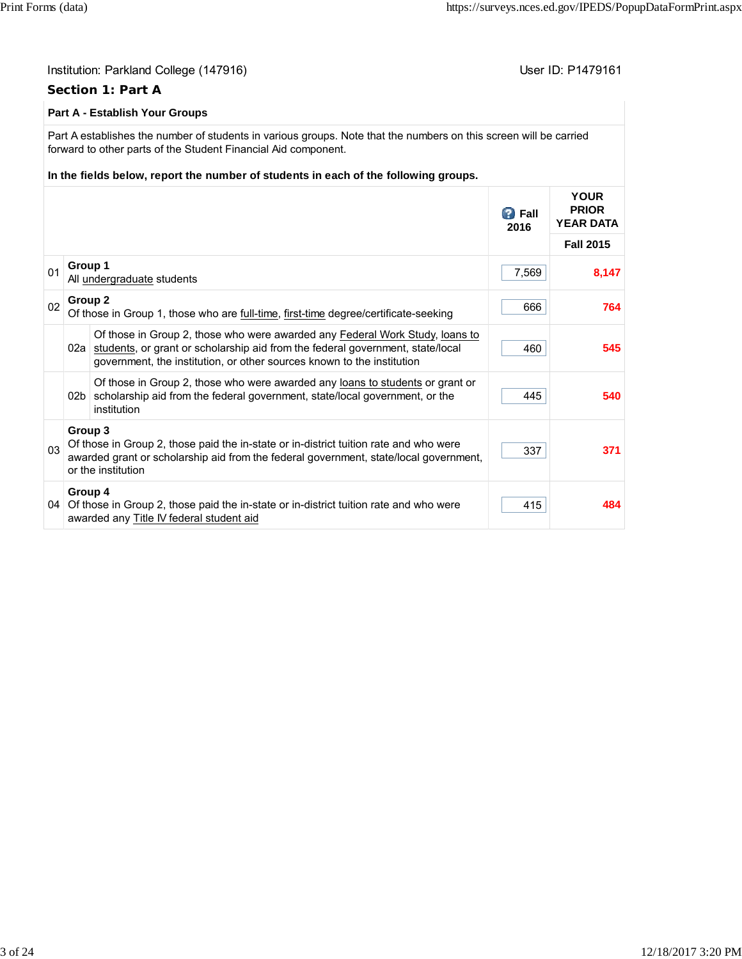415 **484**

#### Institution: Parkland College (147916) November 2012 12: P1479161 **Section 1: Part A Part A - Establish Your Groups** Part A establishes the number of students in various groups. Note that the numbers on this screen will be carried forward to other parts of the Student Financial Aid component. **In the fields below, report the number of students in each of the following groups.** *B* Fall **2016 YOUR PRIOR YEAR DATA Fall 2015** <sup>01</sup> **Group 1** All <u>undergraduate</u> students **8,147**<br>All <u>undergraduate</u> students <sup>02</sup> **Group 2** Of those in Group 1, those who are <u>full-time</u>, first-time degree/certificate-seeking 666 **666** 666 02a students, or grant or scholarship aid from the federal government, state/local Of those in Group 2, those who were awarded any Federal Work Study, loans to government, the institution, or other sources known to the institution 460 **545** 02b | scholarship aid from the federal government, state/local government, or the Of those in Group 2, those who were awarded any loans to students or grant or institution 445 **540** 03 **Group 3** Of those in Group 2, those paid the in-state or in-district tuition rate and who were awarded grant or scholarship aid from the federal government, state/local government, or the institution 337 **371 Group 4**

04 Of those in Group 2, those paid the in-state or in-district tuition rate and who were

awarded any Title IV federal student aid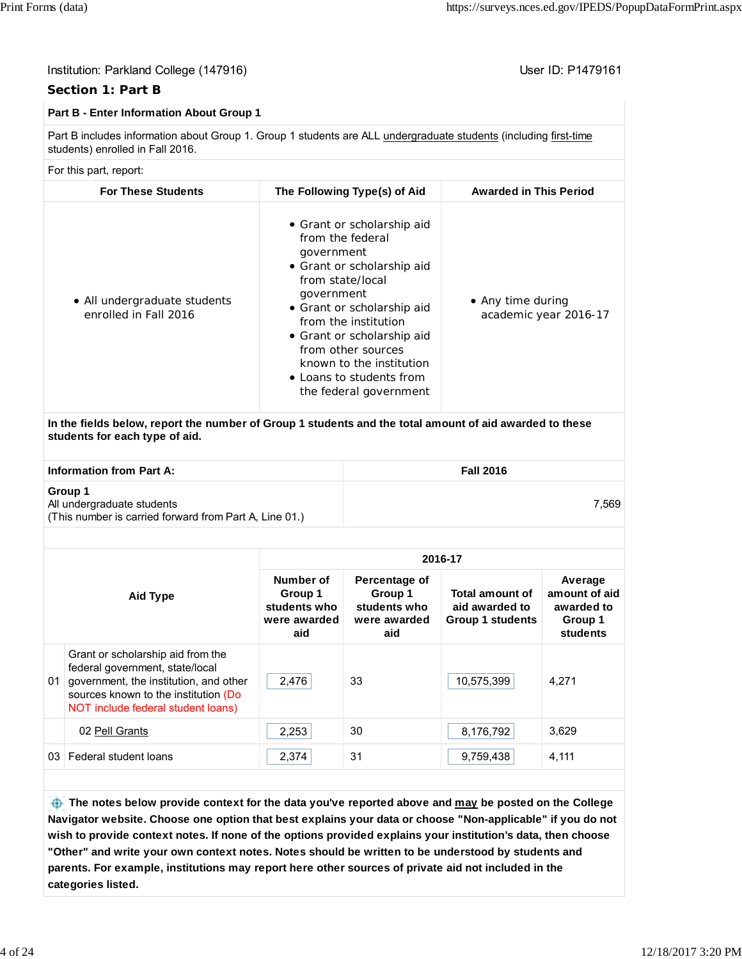7,569

#### Institution: Parkland College (147916) November 2012 12: P1479161

### **Section 1: Part B**

#### **Part B - Enter Information About Group 1**

Part B includes information about Group 1. Group 1 students are ALL undergraduate students (including first-time students) enrolled in Fall 2016.

#### For this part, report:

| <b>For These Students</b>                             | The Following Type(s) of Aid                                                                                                                                                                                                                                                                                             | <b>Awarded in This Period</b>              |
|-------------------------------------------------------|--------------------------------------------------------------------------------------------------------------------------------------------------------------------------------------------------------------------------------------------------------------------------------------------------------------------------|--------------------------------------------|
| • All undergraduate students<br>enrolled in Fall 2016 | • Grant or scholarship aid<br>from the federal<br>government<br>• Grant or scholarship aid<br>from state/local<br>government<br>• Grant or scholarship aid<br>from the institution<br>• Grant or scholarship aid<br>from other sources<br>known to the institution<br>• Loans to students from<br>the federal government | • Any time during<br>academic year 2016-17 |

**In the fields below, report the number of Group 1 students and the total amount of aid awarded to these students for each type of aid.**

**Information from Part A:** Fall 2016

#### **Group 1**

All undergraduate students (This number is carried forward from Part A, Line 01.)

| Aid Type |                                                                                                                                                                                              | 2016-17                                                     |                                                                 |                                                                     |                                                               |  |  |
|----------|----------------------------------------------------------------------------------------------------------------------------------------------------------------------------------------------|-------------------------------------------------------------|-----------------------------------------------------------------|---------------------------------------------------------------------|---------------------------------------------------------------|--|--|
|          |                                                                                                                                                                                              | Number of<br>Group 1<br>students who<br>were awarded<br>aid | Percentage of<br>Group 1<br>students who<br>were awarded<br>aid | <b>Total amount of</b><br>aid awarded to<br><b>Group 1 students</b> | Average<br>amount of aid<br>awarded to<br>Group 1<br>students |  |  |
| 01       | Grant or scholarship aid from the<br>federal government, state/local<br>government, the institution, and other<br>sources known to the institution (Do<br>NOT include federal student loans) | 2,476                                                       | 33                                                              | 10,575,399                                                          | 4.271                                                         |  |  |
|          | 02 Pell Grants                                                                                                                                                                               | 2,253                                                       | 30                                                              | 8,176,792                                                           | 3,629                                                         |  |  |
| 03.      | Federal student loans                                                                                                                                                                        | 2,374                                                       | 31                                                              | 9,759,438                                                           | 4,111                                                         |  |  |

 **The notes below provide context for the data you've reported above and may be posted on the College Navigator website. Choose one option that best explains your data or choose "Non-applicable" if you do not wish to provide context notes. If none of the options provided explains your institution's data, then choose "Other" and write your own context notes. Notes should be written to be understood by students and parents. For example, institutions may report here other sources of private aid not included in the categories listed.**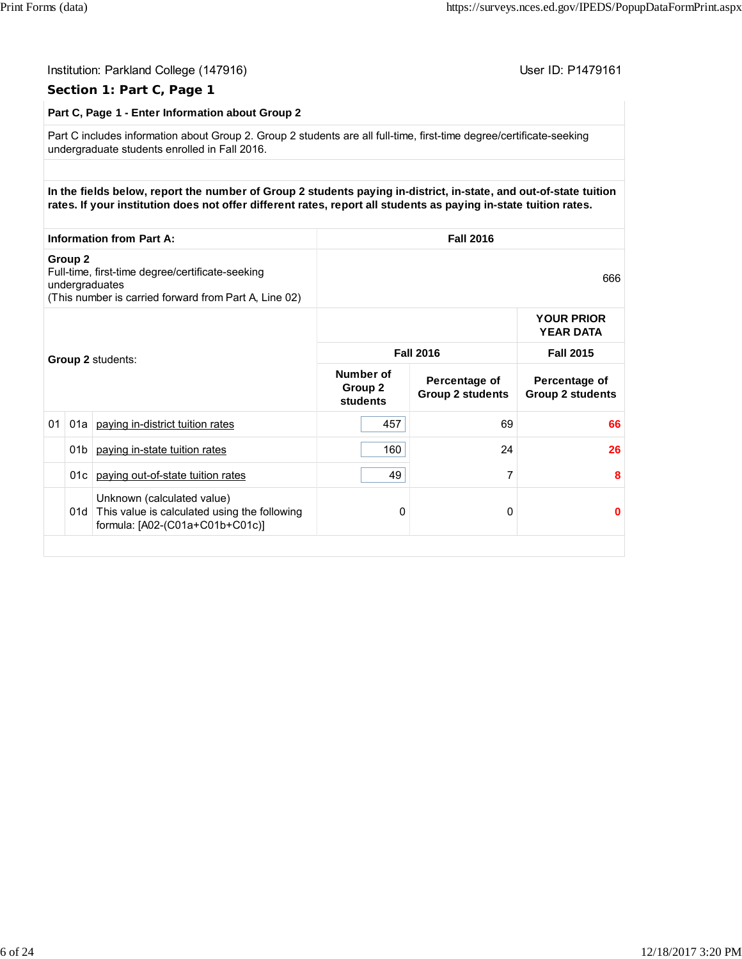|    |                    | Institution: Parkland College (147916)<br>User ID: P1479161<br>Section 1: Part C, Page 1                                                                                                                                              |                                         |                                          |                                          |  |
|----|--------------------|---------------------------------------------------------------------------------------------------------------------------------------------------------------------------------------------------------------------------------------|-----------------------------------------|------------------------------------------|------------------------------------------|--|
|    |                    | Part C, Page 1 - Enter Information about Group 2                                                                                                                                                                                      |                                         |                                          |                                          |  |
|    |                    | Part C includes information about Group 2. Group 2 students are all full-time, first-time degree/certificate-seeking<br>undergraduate students enrolled in Fall 2016.                                                                 |                                         |                                          |                                          |  |
|    |                    |                                                                                                                                                                                                                                       |                                         |                                          |                                          |  |
|    |                    | In the fields below, report the number of Group 2 students paying in-district, in-state, and out-of-state tuition<br>rates. If your institution does not offer different rates, report all students as paying in-state tuition rates. |                                         |                                          |                                          |  |
|    |                    | <b>Information from Part A:</b>                                                                                                                                                                                                       |                                         | <b>Fall 2016</b>                         |                                          |  |
|    | Group <sub>2</sub> | Full-time, first-time degree/certificate-seeking<br>undergraduates<br>(This number is carried forward from Part A, Line 02)                                                                                                           |                                         |                                          |                                          |  |
|    |                    |                                                                                                                                                                                                                                       |                                         |                                          | <b>YOUR PRIOR</b><br><b>YEAR DATA</b>    |  |
|    |                    | Group 2 students:                                                                                                                                                                                                                     |                                         | <b>Fall 2016</b>                         | <b>Fall 2015</b>                         |  |
|    |                    |                                                                                                                                                                                                                                       | <b>Number of</b><br>Group 2<br>students | Percentage of<br><b>Group 2 students</b> | Percentage of<br><b>Group 2 students</b> |  |
| 01 | 01a                | paying in-district tuition rates                                                                                                                                                                                                      | 457                                     | 69                                       | 66                                       |  |
|    | 01 <sub>b</sub>    | paying in-state tuition rates                                                                                                                                                                                                         | 160                                     | 24                                       | 26                                       |  |
|    | 01c                | paying out-of-state tuition rates                                                                                                                                                                                                     | 49                                      | 7                                        | 8                                        |  |
|    |                    | Unknown (calculated value)<br>01d This value is calculated using the following<br>formula: [A02-(C01a+C01b+C01c)]                                                                                                                     | 0                                       | 0                                        | 0                                        |  |
|    |                    |                                                                                                                                                                                                                                       |                                         |                                          |                                          |  |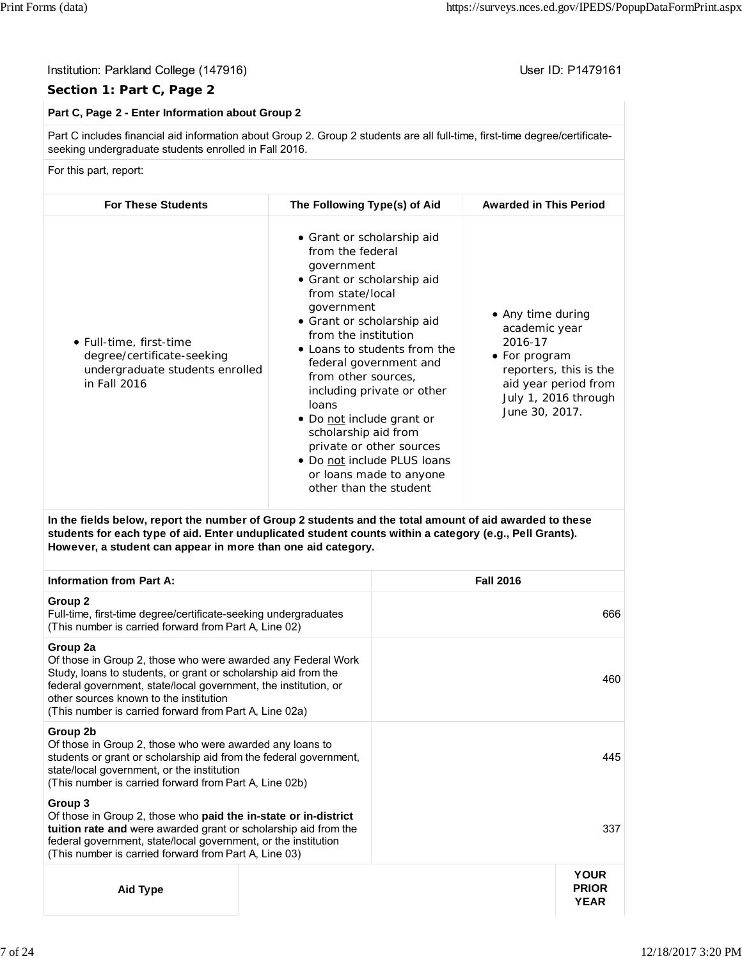#### Institution: Parkland College (147916) Contract College (147916)

#### **Section 1: Part C, Page 2**

#### **Part C, Page 2 - Enter Information about Group 2**

Part C includes financial aid information about Group 2. Group 2 students are all full-time, first-time degree/certificateseeking undergraduate students enrolled in Fall 2016.

For this part, report:

| <b>For These Students</b>                                                                                | The Following Type(s) of Aid                                                                                                                                                                                                                                                                                                                                                                                                                                                    | <b>Awarded in This Period</b>                                                                                                                              |
|----------------------------------------------------------------------------------------------------------|---------------------------------------------------------------------------------------------------------------------------------------------------------------------------------------------------------------------------------------------------------------------------------------------------------------------------------------------------------------------------------------------------------------------------------------------------------------------------------|------------------------------------------------------------------------------------------------------------------------------------------------------------|
| • Full-time, first-time<br>degree/certificate-seeking<br>undergraduate students enrolled<br>in Fall 2016 | • Grant or scholarship aid<br>from the federal<br>government<br>• Grant or scholarship aid<br>from state/local<br>government<br>• Grant or scholarship aid<br>from the institution<br>• Loans to students from the<br>federal government and<br>from other sources,<br>including private or other<br>loans<br>• Do not include grant or<br>scholarship aid from<br>private or other sources<br>• Do not include PLUS loans<br>or loans made to anyone<br>other than the student | • Any time during<br>academic year<br>2016-17<br>• For program<br>reporters, this is the<br>aid year period from<br>July 1, 2016 through<br>June 30, 2017. |

**In the fields below, report the number of Group 2 students and the total amount of aid awarded to these students for each type of aid. Enter unduplicated student counts within a category (e.g., Pell Grants). However, a student can appear in more than one aid category.**

| <b>Information from Part A:</b>                                                                                                                                                                                                                                                                                   | <b>Fall 2016</b>                           |
|-------------------------------------------------------------------------------------------------------------------------------------------------------------------------------------------------------------------------------------------------------------------------------------------------------------------|--------------------------------------------|
| Group 2<br>Full-time, first-time degree/certificate-seeking undergraduates<br>(This number is carried forward from Part A, Line 02)                                                                                                                                                                               | 666                                        |
| Group 2a<br>Of those in Group 2, those who were awarded any Federal Work<br>Study, loans to students, or grant or scholarship aid from the<br>federal government, state/local government, the institution, or<br>other sources known to the institution<br>(This number is carried forward from Part A, Line 02a) | 460                                        |
| Group 2b<br>Of those in Group 2, those who were awarded any loans to<br>students or grant or scholarship aid from the federal government,<br>state/local government, or the institution<br>(This number is carried forward from Part A, Line 02b)                                                                 | 445                                        |
| Group 3<br>Of those in Group 2, those who <b>paid the in-state or in-district</b><br>tuition rate and were awarded grant or scholarship aid from the<br>federal government, state/local government, or the institution<br>(This number is carried forward from Part A, Line 03)                                   | 337                                        |
| Aid Type                                                                                                                                                                                                                                                                                                          | <b>YOUR</b><br><b>PRIOR</b><br><b>YEAR</b> |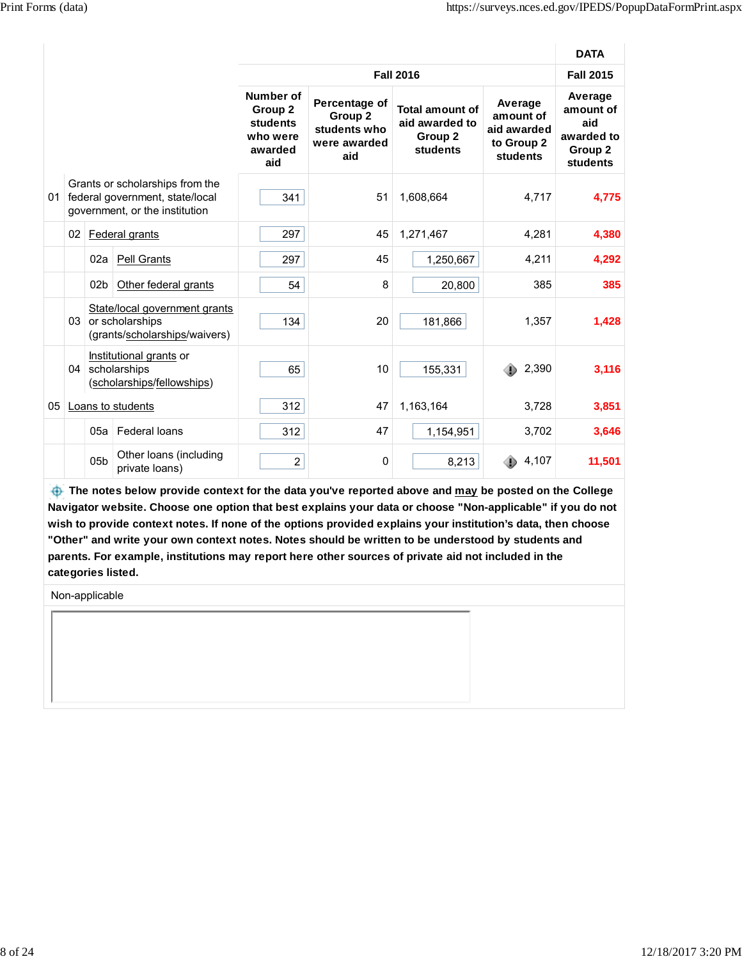|    |    |                 |                                                                                                      |                                                                |                                                                 |                                                          |                                                                      | <b>DATA</b>                                                      |
|----|----|-----------------|------------------------------------------------------------------------------------------------------|----------------------------------------------------------------|-----------------------------------------------------------------|----------------------------------------------------------|----------------------------------------------------------------------|------------------------------------------------------------------|
|    |    |                 |                                                                                                      |                                                                |                                                                 | <b>Fall 2016</b>                                         |                                                                      | <b>Fall 2015</b>                                                 |
|    |    |                 |                                                                                                      | Number of<br>Group 2<br>students<br>who were<br>awarded<br>aid | Percentage of<br>Group 2<br>students who<br>were awarded<br>aid | Total amount of<br>aid awarded to<br>Group 2<br>students | Average<br>amount of<br>aid awarded<br>to Group 2<br><b>students</b> | Average<br>amount of<br>aid<br>awarded to<br>Group 2<br>students |
| 01 |    |                 | Grants or scholarships from the<br>federal government, state/local<br>government, or the institution | 341                                                            | 51                                                              | 1,608,664                                                | 4,717                                                                | 4,775                                                            |
|    | 02 |                 | Federal grants                                                                                       | 297                                                            | 45                                                              | 1,271,467                                                | 4,281                                                                | 4,380                                                            |
|    |    | 02a             | Pell Grants                                                                                          | 297                                                            | 45                                                              | 1,250,667                                                | 4,211                                                                | 4,292                                                            |
|    |    | 02 <sub>b</sub> | Other federal grants                                                                                 | 54                                                             | 8                                                               | 20,800                                                   | 385                                                                  | 385                                                              |
|    |    |                 | State/local government grants<br>03 or scholarships<br>(grants/scholarships/waivers)                 | 134                                                            | 20                                                              | 181,866                                                  | 1,357                                                                | 1,428                                                            |
|    | 04 |                 | Institutional grants or<br>scholarships<br>(scholarships/fellowships)                                | 65                                                             | 10                                                              | 155,331                                                  | 2,390                                                                | 3,116                                                            |
| 05 |    |                 | Loans to students                                                                                    | 312                                                            | 47                                                              | 1,163,164                                                | 3,728                                                                | 3,851                                                            |
|    |    | 05a             | Federal loans                                                                                        | 312                                                            | 47                                                              | 1,154,951                                                | 3,702                                                                | 3,646                                                            |
|    |    | 05 <sub>b</sub> | Other loans (including<br>private loans)                                                             | $\overline{c}$                                                 | 0                                                               | 8,213                                                    | 4,107                                                                | 11,501                                                           |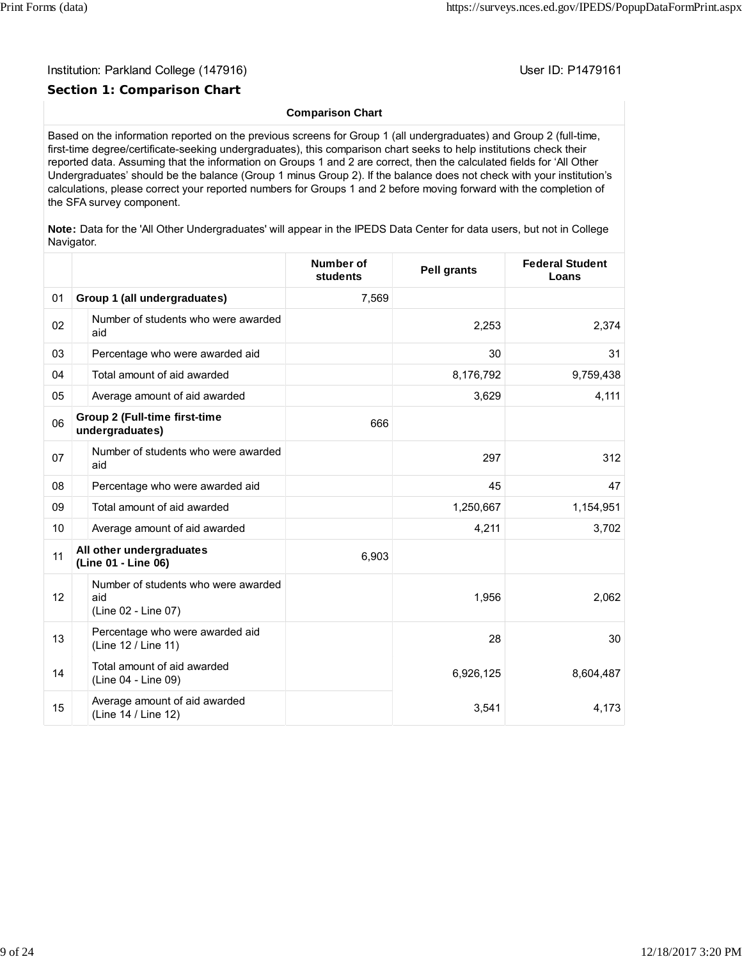### **Section 1: Comparison Chart**

#### **Comparison Chart**

Based on the information reported on the previous screens for Group 1 (all undergraduates) and Group 2 (full-time, first-time degree/certificate-seeking undergraduates), this comparison chart seeks to help institutions check their reported data. Assuming that the information on Groups 1 and 2 are correct, then the calculated fields for 'All Other Undergraduates' should be the balance (Group 1 minus Group 2). If the balance does not check with your institution's calculations, please correct your reported numbers for Groups 1 and 2 before moving forward with the completion of the SFA survey component.

**Note:** Data for the 'All Other Undergraduates' will appear in the IPEDS Data Center for data users, but not in College Navigator.

|    |                                                                   | Number of<br>students | <b>Pell grants</b> | <b>Federal Student</b><br>Loans |
|----|-------------------------------------------------------------------|-----------------------|--------------------|---------------------------------|
| 01 | Group 1 (all undergraduates)                                      | 7,569                 |                    |                                 |
| 02 | Number of students who were awarded<br>aid                        |                       | 2,253              | 2,374                           |
| 03 | Percentage who were awarded aid                                   |                       | 30                 | 31                              |
| 04 | Total amount of aid awarded                                       |                       | 8,176,792          | 9,759,438                       |
| 05 | Average amount of aid awarded                                     |                       | 3,629              | 4,111                           |
| 06 | <b>Group 2 (Full-time first-time</b><br>undergraduates)           | 666                   |                    |                                 |
| 07 | Number of students who were awarded<br>aid                        |                       | 297                | 312                             |
| 08 | Percentage who were awarded aid                                   |                       | 45                 | 47                              |
| 09 | Total amount of aid awarded                                       |                       | 1,250,667          | 1,154,951                       |
| 10 | Average amount of aid awarded                                     |                       | 4,211              | 3,702                           |
| 11 | All other undergraduates<br>(Line 01 - Line 06)                   | 6,903                 |                    |                                 |
| 12 | Number of students who were awarded<br>aid<br>(Line 02 - Line 07) |                       | 1,956              | 2,062                           |
| 13 | Percentage who were awarded aid<br>(Line 12 / Line 11)            |                       | 28                 | 30                              |
| 14 | Total amount of aid awarded<br>(Line 04 - Line 09)                |                       | 6,926,125          | 8,604,487                       |
| 15 | Average amount of aid awarded<br>(Line 14 / Line 12)              |                       | 3,541              | 4,173                           |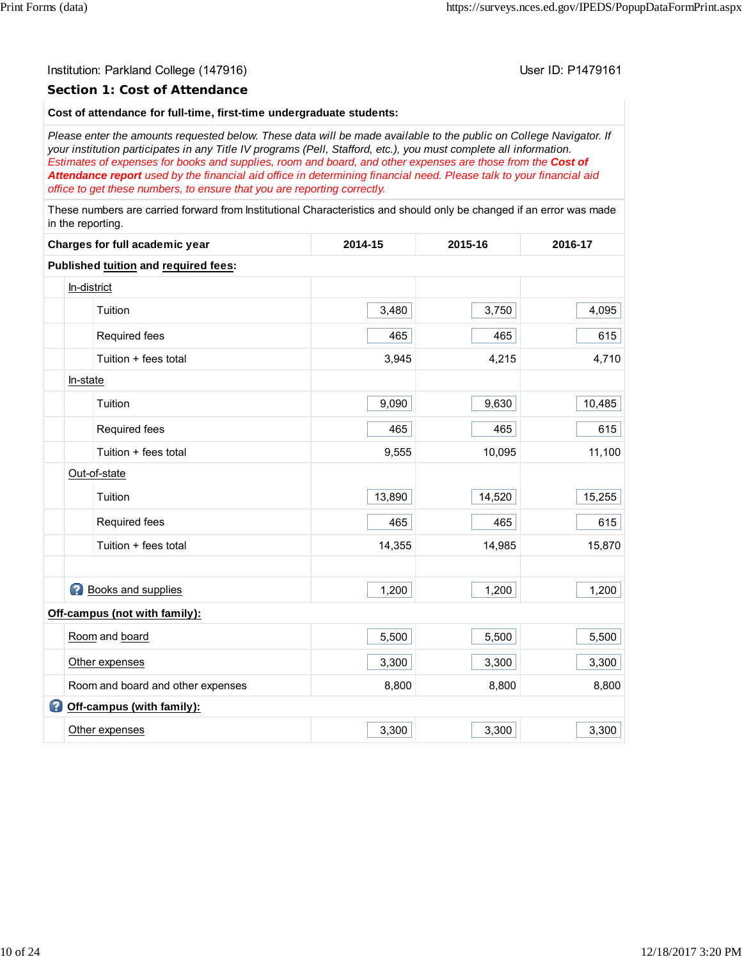#### **Section 1: Cost of Attendance**

#### **Cost of attendance for full-time, first-time undergraduate students:**

*Please enter the amounts requested below. These data will be made available to the public on College Navigator. If your institution participates in any Title IV programs (Pell, Stafford, etc.), you must complete all information. Estimates of expenses for books and supplies, room and board, and other expenses are those from the Cost of Attendance report used by the financial aid office in determining financial need. Please talk to your financial aid office to get these numbers, to ensure that you are reporting correctly.*

These numbers are carried forward from Institutional Characteristics and should only be changed if an error was made in the reporting.

| Charges for full academic year       | 2014-15 | 2015-16 | 2016-17 |
|--------------------------------------|---------|---------|---------|
| Published tuition and required fees: |         |         |         |
| In-district                          |         |         |         |
| Tuition                              | 3,480   | 3,750   | 4,095   |
| Required fees                        | 465     | 465     | 615     |
| Tuition + fees total                 | 3,945   | 4,215   | 4,710   |
| In-state                             |         |         |         |
| Tuition                              | 9,090   | 9,630   | 10,485  |
| Required fees                        | 465     | 465     | 615     |
| Tuition + fees total                 | 9,555   | 10,095  | 11,100  |
| Out-of-state                         |         |         |         |
| Tuition                              | 13,890  | 14,520  | 15,255  |
| Required fees                        | 465     | 465     | 615     |
| Tuition + fees total                 | 14,355  | 14,985  | 15,870  |
|                                      |         |         |         |
| <b>Books and supplies</b>            | 1,200   | 1,200   | 1,200   |
| Off-campus (not with family):        |         |         |         |
| Room and board                       | 5,500   | 5,500   | 5,500   |
| Other expenses                       | 3,300   | 3,300   | 3,300   |
| Room and board and other expenses    | 8,800   | 8,800   | 8,800   |
| Off-campus (with family):            |         |         |         |
| Other expenses                       | 3,300   | 3,300   | 3,300   |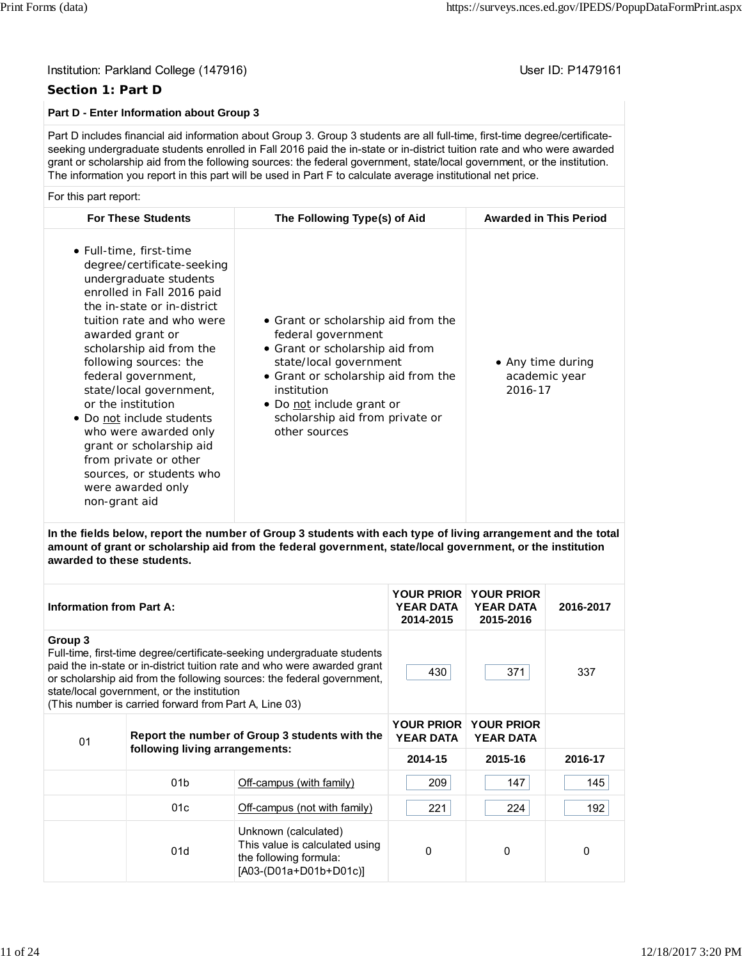#### **Section 1: Part D**

### **Part D - Enter Information about Group 3**

Part D includes financial aid information about Group 3. Group 3 students are all full-time, first-time degree/certificateseeking undergraduate students enrolled in Fall 2016 paid the in-state or in-district tuition rate and who were awarded grant or scholarship aid from the following sources: the federal government, state/local government, or the institution. The information you report in this part will be used in Part F to calculate average institutional net price.

#### For this part report:

| <b>For These Students</b>                                                                                                                                                                                                                                                                                                                                                                                                                                                                                | The Following Type(s) of Aid                                                                                                                                                                                                                                  | <b>Awarded in This Period</b>                 |
|----------------------------------------------------------------------------------------------------------------------------------------------------------------------------------------------------------------------------------------------------------------------------------------------------------------------------------------------------------------------------------------------------------------------------------------------------------------------------------------------------------|---------------------------------------------------------------------------------------------------------------------------------------------------------------------------------------------------------------------------------------------------------------|-----------------------------------------------|
| • Full-time, first-time<br>degree/certificate-seeking<br>undergraduate students<br>enrolled in Fall 2016 paid<br>the in-state or in-district<br>tuition rate and who were<br>awarded grant or<br>scholarship aid from the<br>following sources: the<br>federal government,<br>state/local government,<br>or the institution<br>• Do not include students<br>who were awarded only<br>grant or scholarship aid<br>from private or other<br>sources, or students who<br>were awarded only<br>non-grant aid | • Grant or scholarship aid from the<br>federal government<br>• Grant or scholarship aid from<br>state/local government<br>• Grant or scholarship aid from the<br>institution<br>• Do not include grant or<br>scholarship aid from private or<br>other sources | • Any time during<br>academic year<br>2016-17 |

**In the fields below, report the number of Group 3 students with each type of living arrangement and the total amount of grant or scholarship aid from the federal government, state/local government, or the institution awarded to these students.**

| <b>Information from Part A:</b>                                                                                                                                                                                                                                                                                                                 |                                                |                                                                                                            | <b>YOUR PRIOR</b><br><b>YEAR DATA</b><br>2014-2015 | <b>YOUR PRIOR</b><br><b>YEAR DATA</b><br>2015-2016 | 2016-2017 |
|-------------------------------------------------------------------------------------------------------------------------------------------------------------------------------------------------------------------------------------------------------------------------------------------------------------------------------------------------|------------------------------------------------|------------------------------------------------------------------------------------------------------------|----------------------------------------------------|----------------------------------------------------|-----------|
| Group 3<br>Full-time, first-time degree/certificate-seeking undergraduate students<br>paid the in-state or in-district tuition rate and who were awarded grant<br>or scholarship aid from the following sources: the federal government,<br>state/local government, or the institution<br>(This number is carried forward from Part A, Line 03) |                                                |                                                                                                            | 430                                                | 371                                                | 337       |
| 01                                                                                                                                                                                                                                                                                                                                              | Report the number of Group 3 students with the |                                                                                                            | <b>YOUR PRIOR</b><br><b>YEAR DATA</b>              | <b>YOUR PRIOR</b><br><b>YEAR DATA</b>              |           |
|                                                                                                                                                                                                                                                                                                                                                 | following living arrangements:                 |                                                                                                            | 2014-15                                            | 2015-16                                            | 2016-17   |
|                                                                                                                                                                                                                                                                                                                                                 | 01 <sub>b</sub>                                | Off-campus (with family)                                                                                   | 209                                                | 147                                                | 145       |
|                                                                                                                                                                                                                                                                                                                                                 | 01c                                            | Off-campus (not with family)                                                                               | 221                                                | 224                                                | 192       |
|                                                                                                                                                                                                                                                                                                                                                 | 01d                                            | Unknown (calculated)<br>This value is calculated using<br>the following formula:<br>[A03-(D01a+D01b+D01c)] | $\Omega$                                           | $\Omega$                                           | 0         |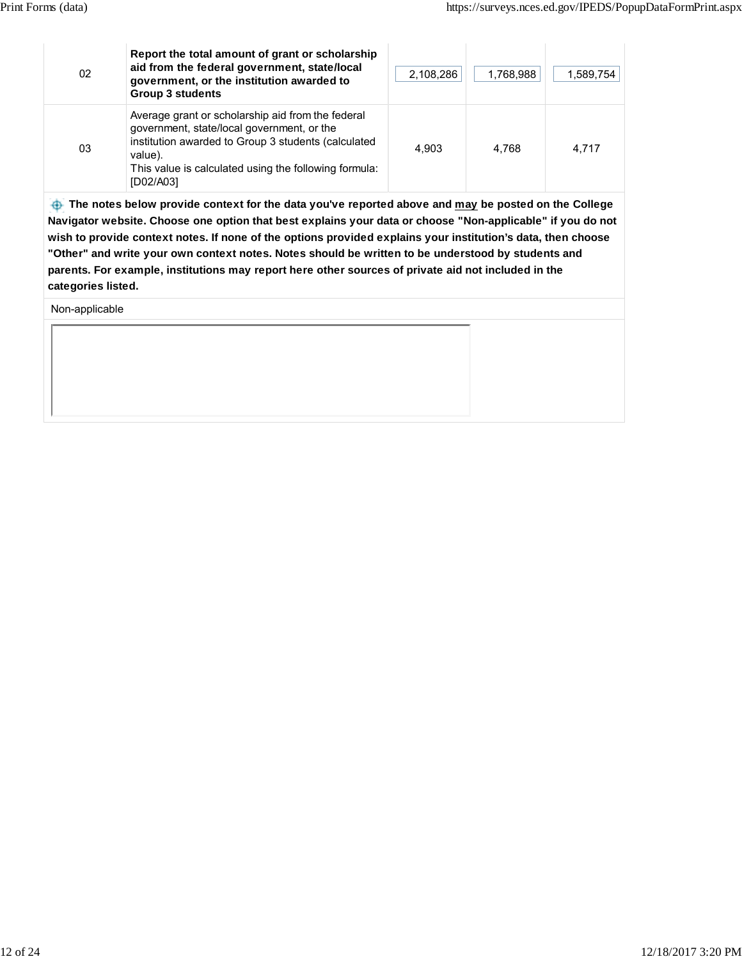| 02 | Report the total amount of grant or scholarship<br>aid from the federal government, state/local<br>government, or the institution awarded to<br><b>Group 3 students</b>                                                                 | 2,108,286 | 1,768,988 | 1,589,754 |
|----|-----------------------------------------------------------------------------------------------------------------------------------------------------------------------------------------------------------------------------------------|-----------|-----------|-----------|
| 03 | Average grant or scholarship aid from the federal<br>government, state/local government, or the<br>institution awarded to Group 3 students (calculated<br>value).<br>This value is calculated using the following formula:<br>[D02/A03] | 4.903     | 4.768     | 4.717     |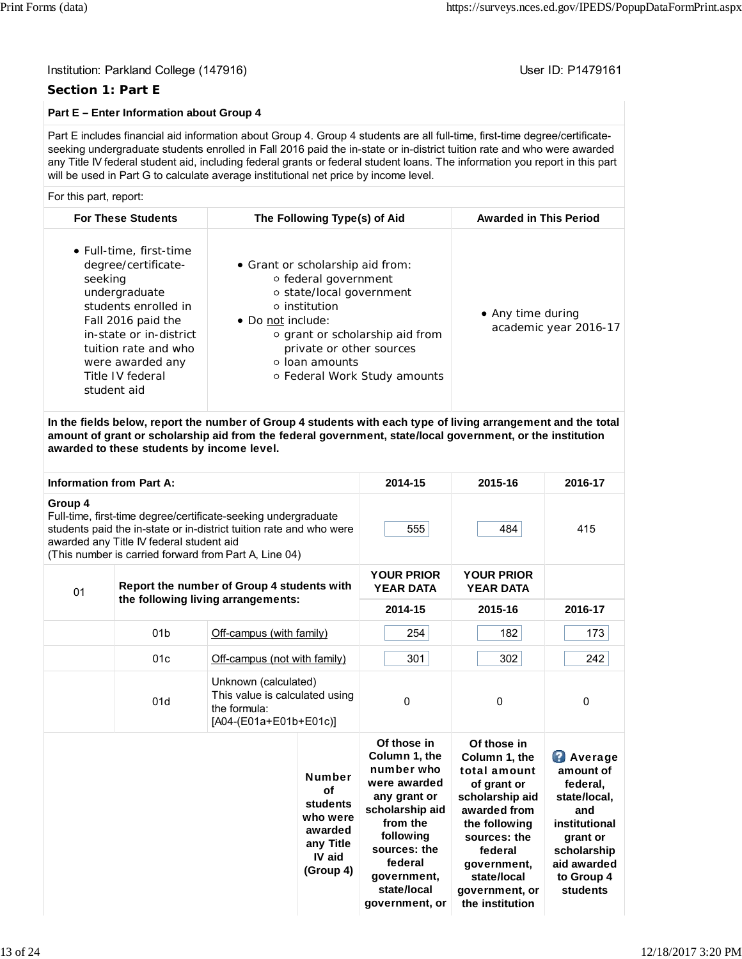#### **Section 1: Part E**

### **Part E – Enter Information about Group 4**

Part E includes financial aid information about Group 4. Group 4 students are all full-time, first-time degree/certificateseeking undergraduate students enrolled in Fall 2016 paid the in-state or in-district tuition rate and who were awarded any Title IV federal student aid, including federal grants or federal student loans. The information you report in this part will be used in Part G to calculate average institutional net price by income level.

#### For this part, report:

| <b>For These Students</b>                                                                                                                                                                                                          | The Following Type(s) of Aid                                                                                                                                                                                                                      | <b>Awarded in This Period</b>              |
|------------------------------------------------------------------------------------------------------------------------------------------------------------------------------------------------------------------------------------|---------------------------------------------------------------------------------------------------------------------------------------------------------------------------------------------------------------------------------------------------|--------------------------------------------|
| • Full-time, first-time<br>degree/certificate-<br>seeking<br>undergraduate<br>students enrolled in<br>Fall 2016 paid the<br>in-state or in-district<br>tuition rate and who<br>were awarded any<br>Title IV federal<br>student aid | • Grant or scholarship aid from:<br>○ federal government<br>○ state/local government<br>$\circ$ institution<br>• Do not include:<br>o grant or scholarship aid from<br>private or other sources<br>○ loan amounts<br>○ Federal Work Study amounts | • Any time during<br>academic year 2016-17 |
|                                                                                                                                                                                                                                    |                                                                                                                                                                                                                                                   |                                            |

**In the fields below, report the number of Group 4 students with each type of living arrangement and the total amount of grant or scholarship aid from the federal government, state/local government, or the institution awarded to these students by income level.**

| <b>Information from Part A:</b>                  |                                          |                                                                                                                                                                                                |                                                                                            | 2014-15                                                                                                                                                                                           | 2015-16                                                                                                                                                                                                       | 2016-17                                                                                                                                             |
|--------------------------------------------------|------------------------------------------|------------------------------------------------------------------------------------------------------------------------------------------------------------------------------------------------|--------------------------------------------------------------------------------------------|---------------------------------------------------------------------------------------------------------------------------------------------------------------------------------------------------|---------------------------------------------------------------------------------------------------------------------------------------------------------------------------------------------------------------|-----------------------------------------------------------------------------------------------------------------------------------------------------|
| Group 4                                          | awarded any Title IV federal student aid | Full-time, first-time degree/certificate-seeking undergraduate<br>students paid the in-state or in-district tuition rate and who were<br>(This number is carried forward from Part A, Line 04) |                                                                                            | 555                                                                                                                                                                                               | 484                                                                                                                                                                                                           | 415                                                                                                                                                 |
| Report the number of Group 4 students with<br>01 |                                          |                                                                                                                                                                                                | <b>YOUR PRIOR</b><br><b>YEAR DATA</b>                                                      | <b>YOUR PRIOR</b><br><b>YEAR DATA</b>                                                                                                                                                             |                                                                                                                                                                                                               |                                                                                                                                                     |
|                                                  | the following living arrangements:       |                                                                                                                                                                                                |                                                                                            | 2014-15                                                                                                                                                                                           | 2015-16                                                                                                                                                                                                       | 2016-17                                                                                                                                             |
|                                                  | 01 <sub>b</sub>                          | Off-campus (with family)                                                                                                                                                                       |                                                                                            | 254                                                                                                                                                                                               | 182                                                                                                                                                                                                           | 173                                                                                                                                                 |
|                                                  | 01c                                      | Off-campus (not with family)                                                                                                                                                                   |                                                                                            | 301                                                                                                                                                                                               | 302                                                                                                                                                                                                           | 242                                                                                                                                                 |
|                                                  | 01d                                      | Unknown (calculated)<br>This value is calculated using<br>the formula:<br>[A04-(E01a+E01b+E01c)]                                                                                               |                                                                                            | $\Omega$                                                                                                                                                                                          | $\Omega$                                                                                                                                                                                                      | 0                                                                                                                                                   |
|                                                  |                                          |                                                                                                                                                                                                | <b>Number</b><br>of<br>students<br>who were<br>awarded<br>any Title<br>IV aid<br>(Group 4) | Of those in<br>Column 1, the<br>number who<br>were awarded<br>any grant or<br>scholarship aid<br>from the<br>following<br>sources: the<br>federal<br>government,<br>state/local<br>government, or | Of those in<br>Column 1, the<br>total amount<br>of grant or<br>scholarship aid<br>awarded from<br>the following<br>sources: the<br>federal<br>government,<br>state/local<br>government, or<br>the institution | <b>Average</b><br>amount of<br>federal,<br>state/local,<br>and<br>institutional<br>grant or<br>scholarship<br>aid awarded<br>to Group 4<br>students |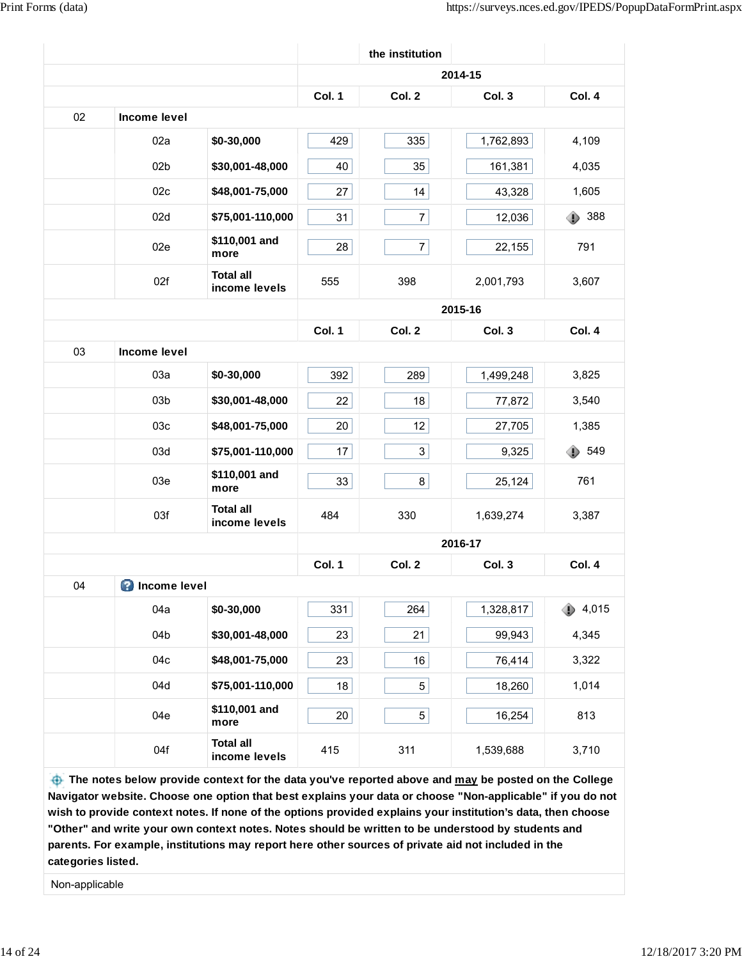|    |                       |                                   |        | the institution |           |          |
|----|-----------------------|-----------------------------------|--------|-----------------|-----------|----------|
|    |                       |                                   |        |                 | 2014-15   |          |
|    |                       |                                   | Col. 1 | Col. 2          | Col. 3    | Col. 4   |
| 02 | Income level          |                                   |        |                 |           |          |
|    | 02a                   | \$0-30,000                        | 429    | 335             | 1,762,893 | 4,109    |
|    | 02 <sub>b</sub>       | \$30,001-48,000                   | 40     | 35              | 161,381   | 4,035    |
|    | 02c                   | \$48,001-75,000                   | 27     | 14              | 43,328    | 1,605    |
|    | 02d                   | \$75,001-110,000                  | 31     | 7               | 12,036    | 388<br>⊕ |
|    | 02e                   | \$110,001 and<br>more             | 28     | $7\vert$        | 22,155    | 791      |
|    | 02f                   | <b>Total all</b><br>income levels | 555    | 398             | 2,001,793 | 3,607    |
|    |                       |                                   |        |                 | 2015-16   |          |
|    |                       |                                   | Col. 1 | Col. 2          | Col. 3    | Col. 4   |
| 03 | <b>Income level</b>   |                                   |        |                 |           |          |
|    | 03a                   | \$0-30,000                        | 392    | 289             | 1,499,248 | 3,825    |
|    | 03 <sub>b</sub>       | \$30,001-48,000                   | 22     | 18              | 77,872    | 3,540    |
|    | 03c                   | \$48,001-75,000                   | 20     | 12              | 27,705    | 1,385    |
|    | 03d                   | \$75,001-110,000                  | 17     | 3               | 9,325     | 549<br>⊕ |
|    | 03e                   | \$110,001 and<br>more             | 33     | 8 <sup>1</sup>  | 25,124    | 761      |
|    | 03f                   | <b>Total all</b><br>income levels | 484    | 330             | 1,639,274 | 3,387    |
|    |                       |                                   |        |                 | 2016-17   |          |
|    |                       |                                   | Col. 1 | Col. 2          | Col. 3    | Col. 4   |
| 04 | <b>O</b> Income level |                                   |        |                 |           |          |
|    | 04a                   | \$0-30,000                        | 331    | 264             | 1,328,817 | 4,015    |
|    | 04b                   | \$30,001-48,000                   | 23     | 21              | 99,943    | 4,345    |
|    | 04c                   | \$48,001-75,000                   | 23     | 16              | 76,414    | 3,322    |
|    | 04d                   | \$75,001-110,000                  | 18     | $5\vert$        | 18,260    | 1,014    |
|    | 04e                   | \$110,001 and<br>more             | 20     | $5\vert$        | 16,254    | 813      |
|    | 04f                   | <b>Total all</b><br>income levels | 415    | 311             | 1,539,688 | 3,710    |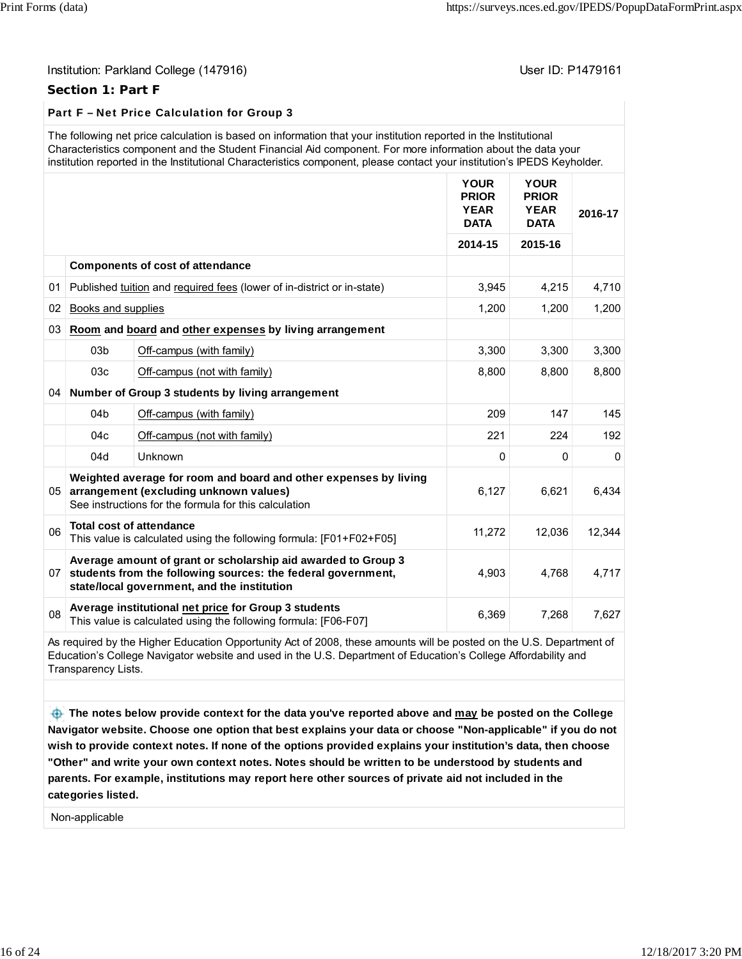#### **Section 1: Part F**

## Part F – Net Price Calculation for Group 3

| The following net price calculation is based on information that your institution reported in the Institutional         |
|-------------------------------------------------------------------------------------------------------------------------|
| Characteristics component and the Student Financial Aid component. For more information about the data your             |
| institution reported in the Institutional Characteristics component, please contact your institution's IPEDS Keyholder. |

|                 |                    |                                                                                                                                                                              | <b>YOUR</b><br><b>PRIOR</b><br><b>YEAR</b><br><b>DATA</b> | <b>YOUR</b><br><b>PRIOR</b><br><b>YEAR</b><br><b>DATA</b> | 2016-17  |
|-----------------|--------------------|------------------------------------------------------------------------------------------------------------------------------------------------------------------------------|-----------------------------------------------------------|-----------------------------------------------------------|----------|
|                 |                    |                                                                                                                                                                              | 2014-15                                                   | 2015-16                                                   |          |
|                 |                    | <b>Components of cost of attendance</b>                                                                                                                                      |                                                           |                                                           |          |
| 01              |                    | Published tuition and required fees (lower of in-district or in-state)                                                                                                       | 3,945                                                     | 4,215                                                     | 4,710    |
| 02              | Books and supplies |                                                                                                                                                                              | 1,200                                                     | 1,200                                                     | 1,200    |
| 03              |                    | Room and board and other expenses by living arrangement                                                                                                                      |                                                           |                                                           |          |
|                 | 03 <sub>b</sub>    | Off-campus (with family)                                                                                                                                                     | 3,300                                                     | 3,300                                                     | 3,300    |
|                 | 03c                | Off-campus (not with family)                                                                                                                                                 | 8,800                                                     | 8.800                                                     | 8,800    |
| 04              |                    | Number of Group 3 students by living arrangement                                                                                                                             |                                                           |                                                           |          |
|                 | 04 <sub>b</sub>    | Off-campus (with family)                                                                                                                                                     | 209                                                       | 147                                                       | 145      |
|                 | 04c                | Off-campus (not with family)                                                                                                                                                 | 221                                                       | 224                                                       | 192      |
|                 | 04d                | Unknown                                                                                                                                                                      | $\Omega$                                                  | 0                                                         | $\Omega$ |
| 05 <sup>1</sup> |                    | Weighted average for room and board and other expenses by living<br>arrangement (excluding unknown values)<br>See instructions for the formula for this calculation          | 6,127                                                     | 6,621                                                     | 6,434    |
| 06              |                    | <b>Total cost of attendance</b><br>This value is calculated using the following formula: [F01+F02+F05]                                                                       | 11,272                                                    | 12,036                                                    | 12,344   |
| 07              |                    | Average amount of grant or scholarship aid awarded to Group 3<br>students from the following sources: the federal government,<br>state/local government, and the institution | 4,903                                                     | 4,768                                                     | 4,717    |
| 08              |                    | Average institutional net price for Group 3 students<br>This value is calculated using the following formula: [F06-F07]                                                      | 6,369                                                     | 7,268                                                     | 7,627    |

As required by the Higher Education Opportunity Act of 2008, these amounts will be posted on the U.S. Department of Education's College Navigator website and used in the U.S. Department of Education's College Affordability and Transparency Lists.

 **The notes below provide context for the data you've reported above and may be posted on the College Navigator website. Choose one option that best explains your data or choose "Non-applicable" if you do not wish to provide context notes. If none of the options provided explains your institution's data, then choose "Other" and write your own context notes. Notes should be written to be understood by students and parents. For example, institutions may report here other sources of private aid not included in the categories listed.**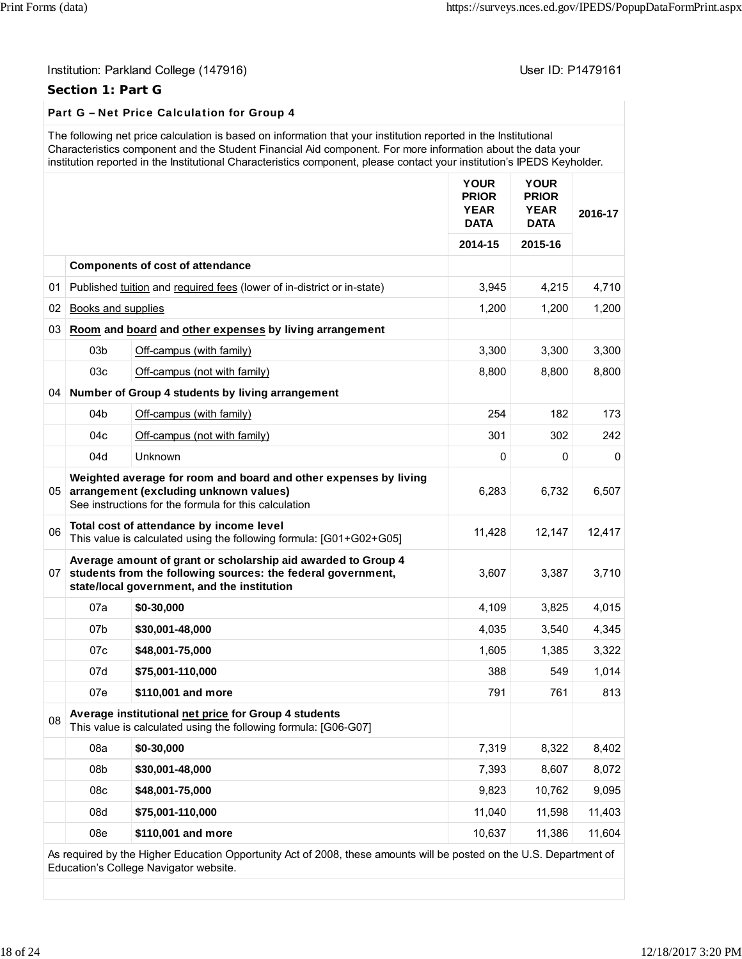## Institution: Parkland College (147916) **Institution: Parkland College (147916**)

## **Section 1: Part G**

## Part G – Net Price Calculation for Group 4

|    | The following net price calculation is based on information that your institution reported in the Institutional<br>Characteristics component and the Student Financial Aid component. For more information about the data your<br>institution reported in the Institutional Characteristics component, please contact your institution's IPEDS Keyholder. |                                                                                                                                                                                 |                                                           |                                                           |         |  |  |
|----|-----------------------------------------------------------------------------------------------------------------------------------------------------------------------------------------------------------------------------------------------------------------------------------------------------------------------------------------------------------|---------------------------------------------------------------------------------------------------------------------------------------------------------------------------------|-----------------------------------------------------------|-----------------------------------------------------------|---------|--|--|
|    |                                                                                                                                                                                                                                                                                                                                                           |                                                                                                                                                                                 | <b>YOUR</b><br><b>PRIOR</b><br><b>YEAR</b><br><b>DATA</b> | <b>YOUR</b><br><b>PRIOR</b><br><b>YEAR</b><br><b>DATA</b> | 2016-17 |  |  |
|    |                                                                                                                                                                                                                                                                                                                                                           |                                                                                                                                                                                 | 2014-15                                                   | 2015-16                                                   |         |  |  |
|    |                                                                                                                                                                                                                                                                                                                                                           | <b>Components of cost of attendance</b>                                                                                                                                         |                                                           |                                                           |         |  |  |
|    |                                                                                                                                                                                                                                                                                                                                                           | 01 Published tuition and required fees (lower of in-district or in-state)                                                                                                       | 3,945                                                     | 4,215                                                     | 4,710   |  |  |
| 02 | Books and supplies                                                                                                                                                                                                                                                                                                                                        |                                                                                                                                                                                 | 1,200                                                     | 1,200                                                     | 1,200   |  |  |
| 03 |                                                                                                                                                                                                                                                                                                                                                           | Room and board and other expenses by living arrangement                                                                                                                         |                                                           |                                                           |         |  |  |
|    | 03 <sub>b</sub>                                                                                                                                                                                                                                                                                                                                           | Off-campus (with family)                                                                                                                                                        | 3,300                                                     | 3,300                                                     | 3,300   |  |  |
|    | 03c                                                                                                                                                                                                                                                                                                                                                       | Off-campus (not with family)                                                                                                                                                    | 8,800                                                     | 8,800                                                     | 8,800   |  |  |
| 04 |                                                                                                                                                                                                                                                                                                                                                           | Number of Group 4 students by living arrangement                                                                                                                                |                                                           |                                                           |         |  |  |
|    | 04 <sub>b</sub>                                                                                                                                                                                                                                                                                                                                           | Off-campus (with family)                                                                                                                                                        | 254                                                       | 182                                                       | 173     |  |  |
|    | 04c                                                                                                                                                                                                                                                                                                                                                       | Off-campus (not with family)                                                                                                                                                    | 301                                                       | 302                                                       | 242     |  |  |
|    | 04d                                                                                                                                                                                                                                                                                                                                                       | Unknown                                                                                                                                                                         | $\mathbf 0$                                               | 0                                                         | 0       |  |  |
|    |                                                                                                                                                                                                                                                                                                                                                           | Weighted average for room and board and other expenses by living<br>05 arrangement (excluding unknown values)<br>See instructions for the formula for this calculation          | 6,283                                                     | 6,732                                                     | 6,507   |  |  |
| 06 |                                                                                                                                                                                                                                                                                                                                                           | Total cost of attendance by income level<br>This value is calculated using the following formula: [G01+G02+G05]                                                                 | 11,428                                                    | 12,147                                                    | 12,417  |  |  |
|    |                                                                                                                                                                                                                                                                                                                                                           | Average amount of grant or scholarship aid awarded to Group 4<br>07 students from the following sources: the federal government,<br>state/local government, and the institution | 3,607                                                     | 3,387                                                     | 3,710   |  |  |
|    | 07a                                                                                                                                                                                                                                                                                                                                                       | \$0-30,000                                                                                                                                                                      | 4,109                                                     | 3,825                                                     | 4,015   |  |  |
|    | 07 <sub>b</sub>                                                                                                                                                                                                                                                                                                                                           | \$30,001-48,000                                                                                                                                                                 | 4,035                                                     | 3,540                                                     | 4,345   |  |  |
|    | 07c                                                                                                                                                                                                                                                                                                                                                       | \$48,001-75,000                                                                                                                                                                 | 1,605                                                     | 1,385                                                     | 3,322   |  |  |
|    | 07d                                                                                                                                                                                                                                                                                                                                                       | \$75,001-110,000                                                                                                                                                                | 388                                                       | 549                                                       | 1,014   |  |  |
|    | 07e                                                                                                                                                                                                                                                                                                                                                       | \$110,001 and more                                                                                                                                                              | 791                                                       | 761                                                       | 813     |  |  |
| 08 |                                                                                                                                                                                                                                                                                                                                                           | Average institutional net price for Group 4 students<br>This value is calculated using the following formula: [G06-G07]                                                         |                                                           |                                                           |         |  |  |
|    | 08a                                                                                                                                                                                                                                                                                                                                                       | \$0-30,000                                                                                                                                                                      | 7,319                                                     | 8,322                                                     | 8,402   |  |  |
|    | 08 <sub>b</sub>                                                                                                                                                                                                                                                                                                                                           | \$30,001-48,000                                                                                                                                                                 | 7,393                                                     | 8,607                                                     | 8,072   |  |  |
|    | 08c                                                                                                                                                                                                                                                                                                                                                       | \$48,001-75,000                                                                                                                                                                 | 9,823                                                     | 10,762                                                    | 9,095   |  |  |
|    | 08d                                                                                                                                                                                                                                                                                                                                                       | \$75,001-110,000                                                                                                                                                                | 11,040                                                    | 11,598                                                    | 11,403  |  |  |
|    | 08e                                                                                                                                                                                                                                                                                                                                                       | \$110,001 and more                                                                                                                                                              | 10,637                                                    | 11,386                                                    | 11,604  |  |  |
|    |                                                                                                                                                                                                                                                                                                                                                           | d by the Higher Education Oppertunity Act of 2009, these emounts will be posted on the U.S. Department of                                                                       |                                                           |                                                           |         |  |  |

As required by the Higher Education Opportunity Act of 2008, these amounts will be posted on the U.S. Department of Education's College Navigator website.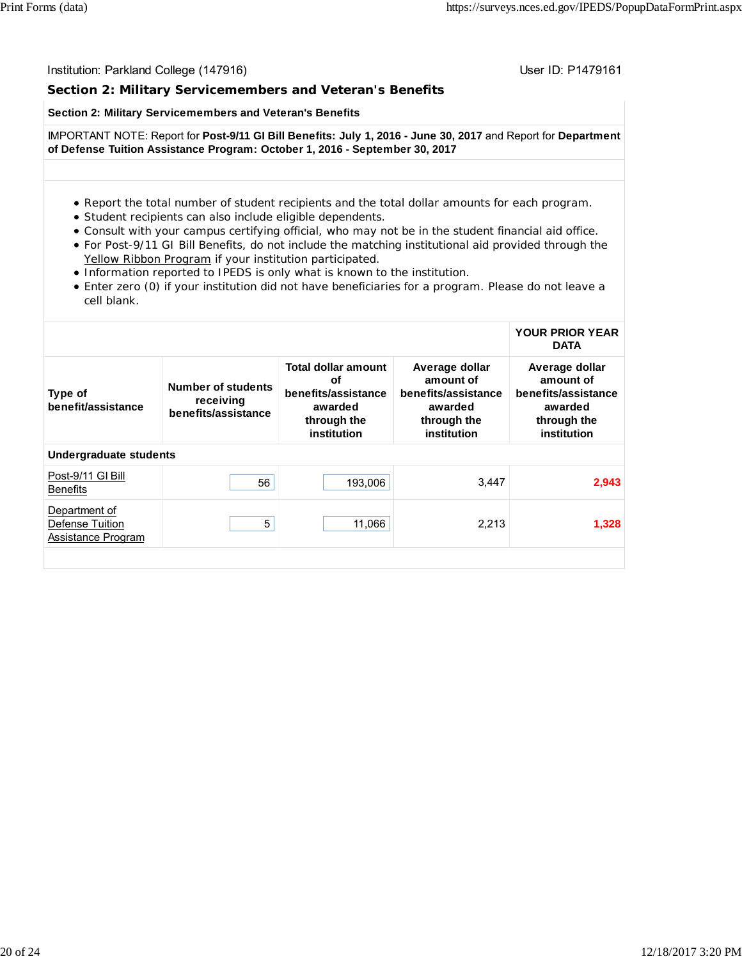### **Section 2: Military Servicemembers and Veteran's Benefits**

#### **Section 2: Military Servicemembers and Veteran's Benefits**

IMPORTANT NOTE: Report for **Post-9/11 GI Bill Benefits: July 1, 2016 - June 30, 2017** and Report for **Department of Defense Tuition Assistance Program: October 1, 2016 - September 30, 2017**

- Report the total number of student recipients and the total dollar amounts for each program.
- Student recipients can also include eligible dependents.
- Consult with your campus certifying official, who may not be in the student financial aid office.
- For Post-9/11 GI Bill Benefits, do not include the matching institutional aid provided through the Yellow Ribbon Program if your institution participated.
- Information reported to IPEDS is only what is known to the institution.
- Enter zero (0) if your institution did not have beneficiaries for a program. Please do not leave a cell blank.

#### **YOUR PRIOR YEAR DATA**

| Type of<br>benefit/assistance                          | Number of students<br>receiving<br>benefits/assistance | Total dollar amount<br>οf<br>benefits/assistance<br>awarded<br>through the<br>institution | Average dollar<br>amount of<br>benefits/assistance<br>awarded<br>through the<br>institution | Average dollar<br>amount of<br>benefits/assistance<br>awarded<br>through the<br>institution |
|--------------------------------------------------------|--------------------------------------------------------|-------------------------------------------------------------------------------------------|---------------------------------------------------------------------------------------------|---------------------------------------------------------------------------------------------|
| <b>Undergraduate students</b>                          |                                                        |                                                                                           |                                                                                             |                                                                                             |
| Post-9/11 GI Bill<br><b>Benefits</b>                   | 56                                                     | 193.006                                                                                   | 3,447                                                                                       | 2,943                                                                                       |
| Department of<br>Defense Tuition<br>Assistance Program | 5                                                      | 11,066                                                                                    | 2,213                                                                                       | 1,328                                                                                       |
|                                                        |                                                        |                                                                                           |                                                                                             |                                                                                             |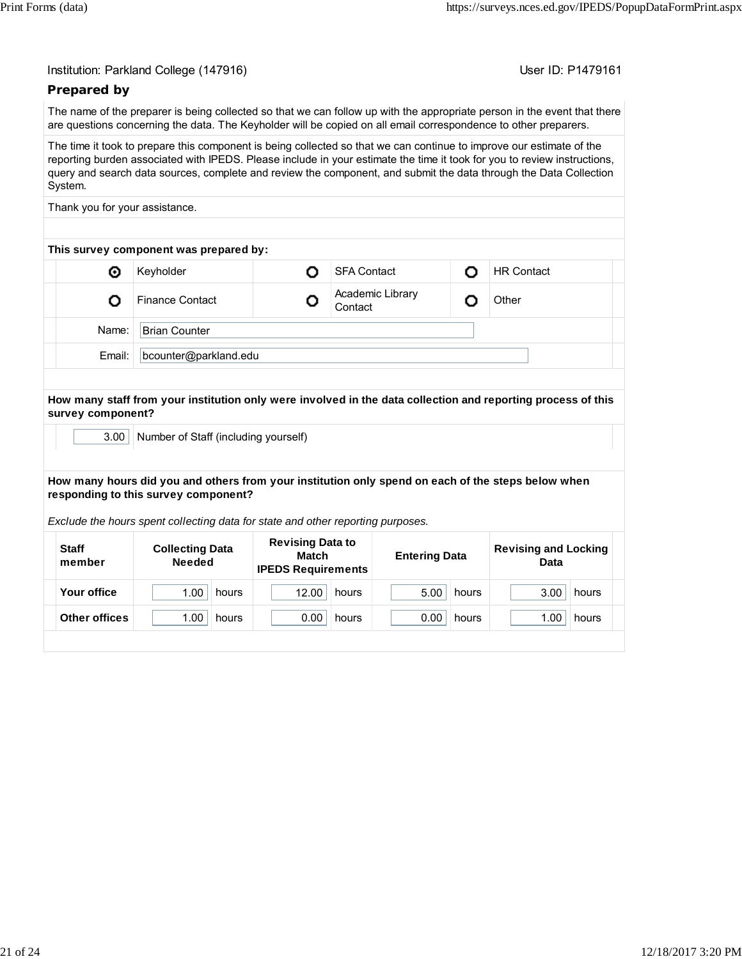User ID: P1479161

## **Prepared by**

The name of the preparer is being collected so that we can follow up with the appropriate person in the event that there are questions concerning the data. The Keyholder will be copied on all email correspondence to other preparers.

The time it took to prepare this component is being collected so that we can continue to improve our estimate of the reporting burden associated with IPEDS. Please include in your estimate the time it took for you to review instructions, query and search data sources, complete and review the component, and submit the data through the Data Collection System.

Thank you for your assistance.

| This survey component was prepared by: |                                                       |  |                   |  |  |  |  |  |
|----------------------------------------|-------------------------------------------------------|--|-------------------|--|--|--|--|--|
| o                                      | Keyholder                                             |  | <b>HR Contact</b> |  |  |  |  |  |
|                                        | Academic Library<br><b>Finance Contact</b><br>Contact |  |                   |  |  |  |  |  |
| Name:                                  | <b>Brian Counter</b>                                  |  |                   |  |  |  |  |  |
| Email:                                 | bcounter@parkland.edu                                 |  |                   |  |  |  |  |  |
|                                        |                                                       |  |                   |  |  |  |  |  |

**How many staff from your institution only were involved in the data collection and reporting process of this survey component?**

3.00 Number of Staff (including yourself)

#### **How many hours did you and others from your institution only spend on each of the steps below when responding to this survey component?**

*Exclude the hours spent collecting data for state and other reporting purposes.*

| <b>Staff</b><br>member | <b>Collecting Data</b><br><b>Needed</b> | <b>Revising Data to</b><br>Match<br><b>IPEDS Requirements</b> | <b>Entering Data</b> | <b>Revising and Locking</b><br>Data |
|------------------------|-----------------------------------------|---------------------------------------------------------------|----------------------|-------------------------------------|
| Your office            | 1.00                                    | 12.00                                                         | 5.00                 | 3.00                                |
|                        | hours                                   | hours                                                         | hours                | hours                               |
| Other offices          | 1.00                                    | 0.00                                                          | 0.00                 | 1.00                                |
|                        | hours                                   | hours                                                         | hours                | hours                               |
|                        |                                         |                                                               |                      |                                     |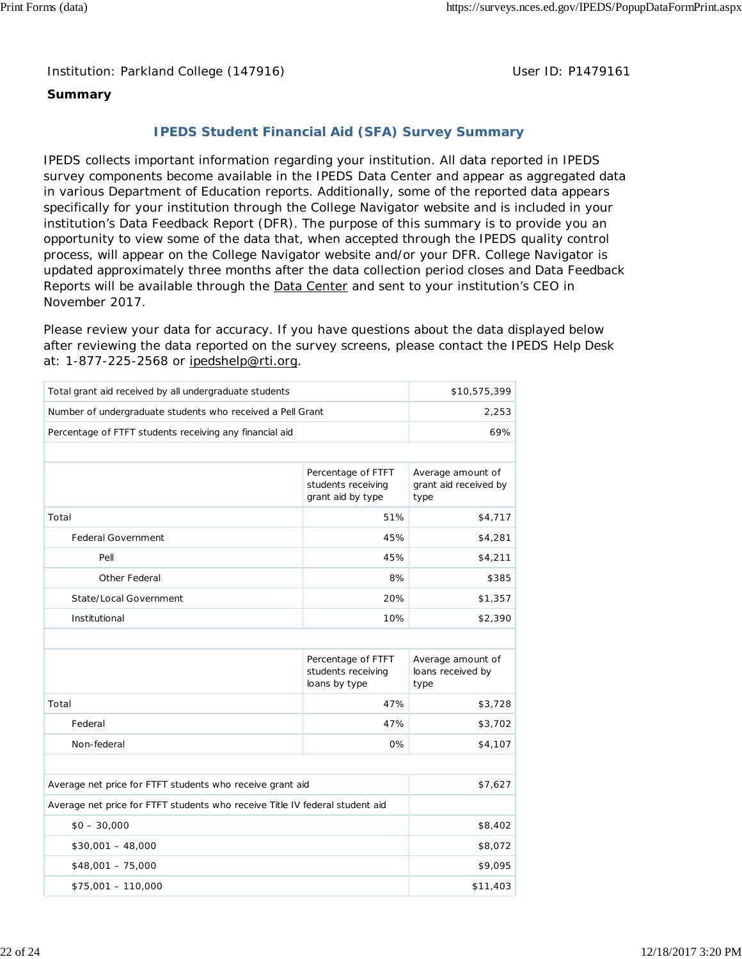Institution: Parkland College (147916) **Distribution: Parkland College (1479161** College College College College College College College College College College College College College College College College College Colle

## **Summary**

## **IPEDS Student Financial Aid (SFA) Survey Summary**

IPEDS collects important information regarding your institution. All data reported in IPEDS survey components become available in the IPEDS Data Center and appear as aggregated data in various Department of Education reports. Additionally, some of the reported data appears specifically for your institution through the College Navigator website and is included in your institution's Data Feedback Report (DFR). The purpose of this summary is to provide you an opportunity to view some of the data that, when accepted through the IPEDS quality control process, will appear on the College Navigator website and/or your DFR. College Navigator is updated approximately three months after the data collection period closes and Data Feedback Reports will be available through the **Data Center** and sent to your institution's CEO in November 2017.

Please review your data for accuracy. If you have questions about the data displayed below after reviewing the data reported on the survey screens, please contact the IPEDS Help Desk at: 1-877-225-2568 or ipedshelp@rti.org.

| Total grant aid received by all undergraduate students                       |                                                               | \$10,575,399                                       |  |
|------------------------------------------------------------------------------|---------------------------------------------------------------|----------------------------------------------------|--|
| Number of undergraduate students who received a Pell Grant                   | 2,253                                                         |                                                    |  |
| Percentage of FTFT students receiving any financial aid                      | 69%                                                           |                                                    |  |
|                                                                              |                                                               |                                                    |  |
|                                                                              | Percentage of FTFT<br>students receiving<br>grant aid by type | Average amount of<br>grant aid received by<br>type |  |
| Total                                                                        | 51%                                                           | \$4,717                                            |  |
| <b>Federal Government</b>                                                    | 45%                                                           | \$4,281                                            |  |
| Pell                                                                         | 45%                                                           | \$4,211                                            |  |
| Other Federal                                                                | 8%                                                            | \$385                                              |  |
| State/Local Government                                                       | 20%                                                           | \$1,357                                            |  |
| Institutional                                                                | 10%                                                           | \$2,390                                            |  |
|                                                                              |                                                               |                                                    |  |
|                                                                              | Percentage of FTFT<br>students receiving<br>loans by type     | Average amount of<br>loans received by<br>type     |  |
| Total                                                                        | 47%                                                           | \$3,728                                            |  |
| Federal                                                                      | 47%                                                           | \$3,702                                            |  |
| Non-federal                                                                  | 0%                                                            | \$4,107                                            |  |
|                                                                              |                                                               |                                                    |  |
| Average net price for FTFT students who receive grant aid                    |                                                               | \$7,627                                            |  |
| Average net price for FTFT students who receive Title IV federal student aid |                                                               |                                                    |  |
| $$0 - 30,000$                                                                |                                                               | \$8,402                                            |  |
| $$30,001 - 48,000$                                                           | \$8,072                                                       |                                                    |  |
| $$48,001 - 75,000$                                                           | \$9,095                                                       |                                                    |  |
| $$75,001 - 110,000$                                                          |                                                               | \$11,403                                           |  |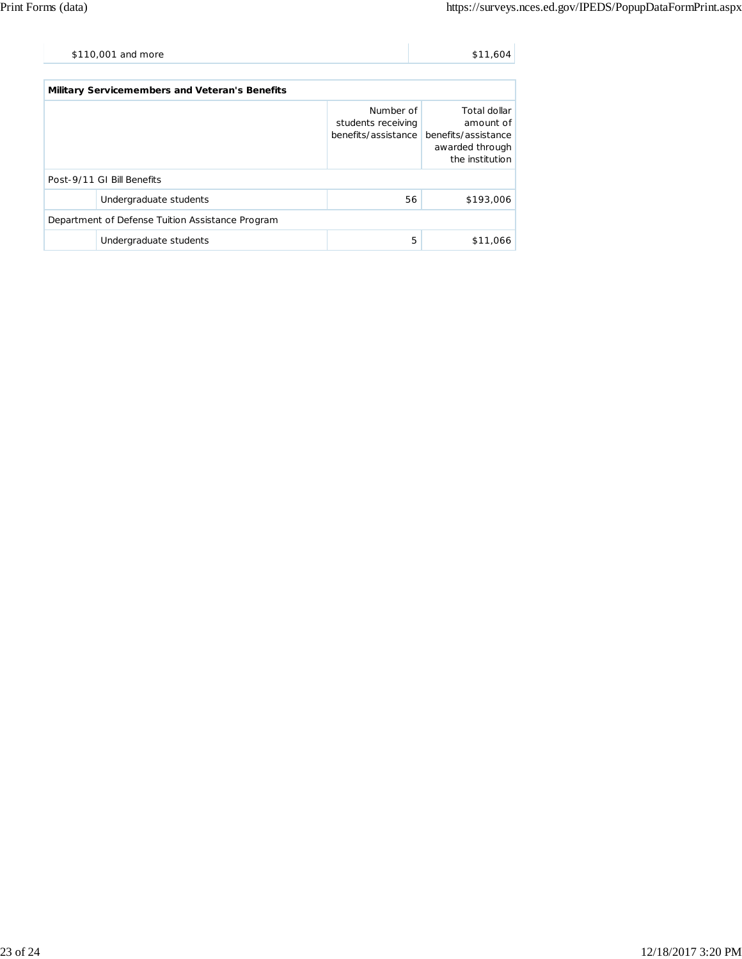| \$110,001 and more | \$11,604 |
|--------------------|----------|
|                    |          |

| <b>Military Servicemembers and Veteran's Benefits</b> |                        |                                 |                                                                                                            |  |  |
|-------------------------------------------------------|------------------------|---------------------------------|------------------------------------------------------------------------------------------------------------|--|--|
|                                                       |                        | Number of<br>students receiving | Total dollar<br>amount of<br>benefits/assistance benefits/assistance<br>awarded through<br>the institution |  |  |
| Post-9/11 GI Bill Benefits                            |                        |                                 |                                                                                                            |  |  |
|                                                       | Undergraduate students | 56                              | \$193,006                                                                                                  |  |  |
| Department of Defense Tuition Assistance Program      |                        |                                 |                                                                                                            |  |  |
|                                                       | Undergraduate students | 5                               | \$11,066                                                                                                   |  |  |